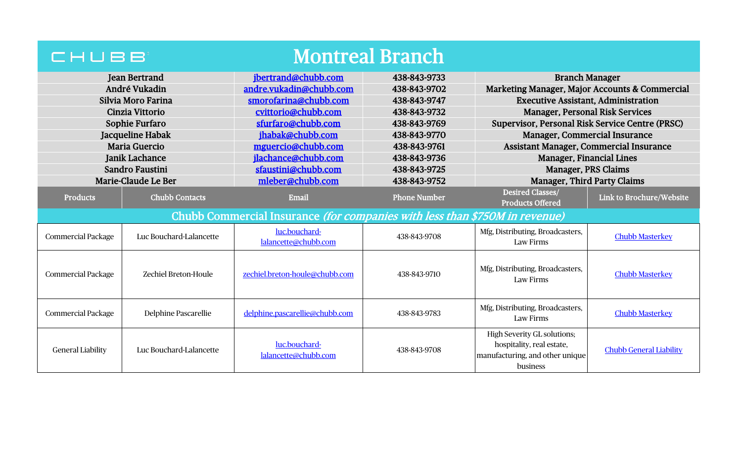| <b>Montreal Branch</b><br>CHUBB |                         |                                                                                    |                     |                                                                                                                |                                         |  |
|---------------------------------|-------------------------|------------------------------------------------------------------------------------|---------------------|----------------------------------------------------------------------------------------------------------------|-----------------------------------------|--|
| <b>Jean Bertrand</b>            |                         | jbertrand@chubb.com                                                                | 438-843-9733        | <b>Branch Manager</b>                                                                                          |                                         |  |
| André Vukadin                   |                         | andre.vukadin@chubb.com                                                            | 438-843-9702        | Marketing Manager, Major Accounts & Commercial                                                                 |                                         |  |
| Silvia Moro Farina              |                         | smorofarina@chubb.com                                                              | 438-843-9747        | <b>Executive Assistant, Administration</b>                                                                     |                                         |  |
| Cinzia Vittorio                 |                         | cvittorio@chubb.com                                                                | 438-843-9732        | <b>Manager, Personal Risk Services</b>                                                                         |                                         |  |
| Sophie Furfaro                  |                         | sfurfaro@chubb.com                                                                 | 438-843-9769        | Supervisor, Personal Risk Service Centre (PRSC)                                                                |                                         |  |
| Jacqueline Habak                |                         | jhabak@chubb.com                                                                   | 438-843-9770        | Manager, Commercial Insurance                                                                                  |                                         |  |
|                                 | <b>Maria Guercio</b>    | mguercio@chubb.com                                                                 | 438-843-9761        |                                                                                                                | Assistant Manager, Commercial Insurance |  |
|                                 | <b>Janik Lachance</b>   | jlachance@chubb.com                                                                | 438-843-9736        |                                                                                                                | <b>Manager, Financial Lines</b>         |  |
|                                 | Sandro Faustini         | sfaustini@chubb.com                                                                | 438-843-9725        | Manager, PRS Claims                                                                                            |                                         |  |
|                                 | Marie-Claude Le Ber     | mleber@chubb.com                                                                   | 438-843-9752        | <b>Manager, Third Party Claims</b>                                                                             |                                         |  |
| <b>Products</b>                 | <b>Chubb Contacts</b>   | Email                                                                              | <b>Phone Number</b> | Desired Classes/<br><b>Products Offered</b>                                                                    | Link to Brochure/Website                |  |
|                                 |                         | Chubb Commercial Insurance <i>(for companies with less than \$750M in revenue)</i> |                     |                                                                                                                |                                         |  |
| <b>Commercial Package</b>       | Luc Bouchard-Lalancette | luc.bouchard-<br>lalancette@chubb.com                                              | 438-843-9708        | Mfg, Distributing, Broadcasters,<br>Law Firms                                                                  | <b>Chubb Masterkey</b>                  |  |
| <b>Commercial Package</b>       | Zechiel Breton-Houle    | zechiel.breton-houle@chubb.com                                                     | 438-843-9710        | Mfg, Distributing, Broadcasters,<br>Law Firms                                                                  | <b>Chubb Masterkey</b>                  |  |
| <b>Commercial Package</b>       | Delphine Pascarellie    | delphine.pascarellie@chubb.com                                                     | 438-843-9783        | Mfg, Distributing, Broadcasters,<br>Law Firms                                                                  | <b>Chubb Masterkey</b>                  |  |
| <b>General Liability</b>        | Luc Bouchard-Lalancette | luc.bouchard-<br>lalancette@chubb.com                                              | 438-843-9708        | <b>High Severity GL solutions;</b><br>hospitality, real estate,<br>manufacturing, and other unique<br>business | <b>Chubb General Liability</b>          |  |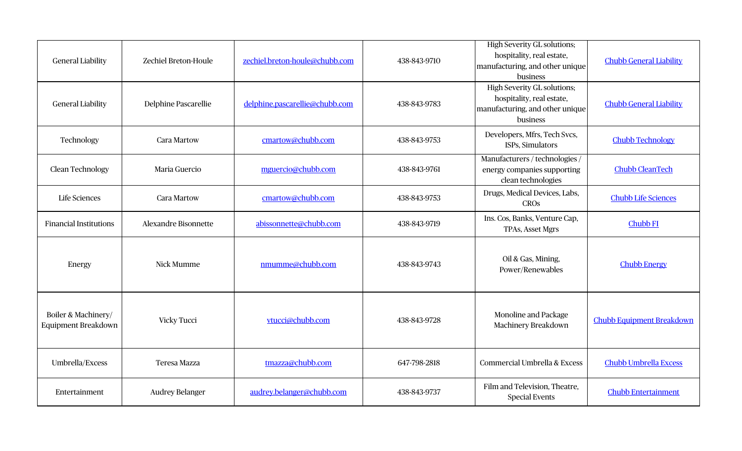| <b>General Liability</b>                   | Zechiel Breton-Houle        | zechiel.breton-houle@chubb.com | 438-843-9710 | <b>High Severity GL solutions;</b><br>hospitality, real estate,<br>manufacturing, and other unique<br>business | <b>Chubb General Liability</b>   |
|--------------------------------------------|-----------------------------|--------------------------------|--------------|----------------------------------------------------------------------------------------------------------------|----------------------------------|
| <b>General Liability</b>                   | Delphine Pascarellie        | delphine.pascarellie@chubb.com | 438-843-9783 | <b>High Severity GL solutions;</b><br>hospitality, real estate,<br>manufacturing, and other unique<br>business | <b>Chubb General Liability</b>   |
| Technology                                 | <b>Cara Martow</b>          | cmartow@chubb.com              | 438-843-9753 | Developers, Mfrs, Tech Svcs,<br>ISPs, Simulators                                                               | <b>Chubb Technology</b>          |
| Clean Technology                           | Maria Guercio               | mguercio@chubb.com             | 438-843-9761 | Manufacturers / technologies /<br>energy companies supporting<br>clean technologies                            | <b>Chubb CleanTech</b>           |
| <b>Life Sciences</b>                       | <b>Cara Martow</b>          | cmartow@chubb.com              | 438-843-9753 | Drugs, Medical Devices, Labs,<br><b>CROS</b>                                                                   | <b>Chubb Life Sciences</b>       |
| <b>Financial Institutions</b>              | <b>Alexandre Bisonnette</b> | abissonnette@chubb.com         | 438-843-9719 | Ins. Cos, Banks, Venture Cap,<br><b>TPAs, Asset Mgrs</b>                                                       | <b>Chubb FI</b>                  |
| Energy                                     | Nick Mumme                  | nmumme@chubb.com               | 438-843-9743 | Oil & Gas, Mining,<br>Power/Renewables                                                                         | <b>Chubb Energy</b>              |
| Boiler & Machinery/<br>Equipment Breakdown | Vicky Tucci                 | vtucci@chubb.com               | 438-843-9728 | Monoline and Package<br>Machinery Breakdown                                                                    | <b>Chubb Equipment Breakdown</b> |
| Umbrella/Excess                            | <b>Teresa Mazza</b>         | tmazza@chubb.com               | 647-798-2818 | Commercial Umbrella & Excess                                                                                   | <b>Chubb Umbrella Excess</b>     |
| Entertainment                              | <b>Audrey Belanger</b>      | audrey.belanger@chubb.com      | 438-843-9737 | Film and Television, Theatre,<br><b>Special Events</b>                                                         | <b>Chubb Entertainment</b>       |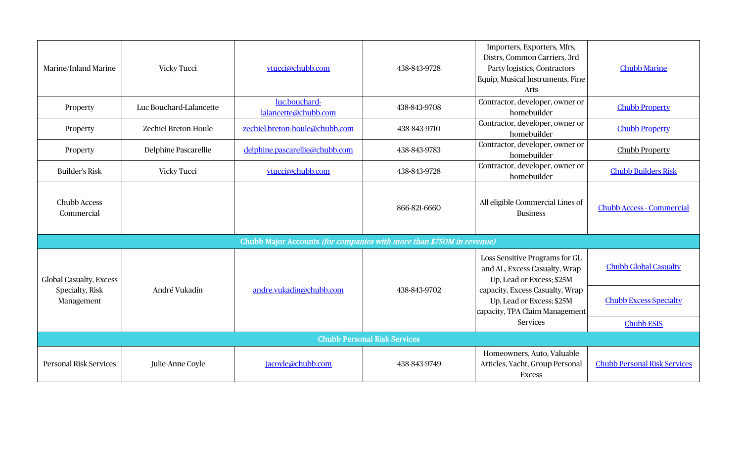| Marine/Inland Marine                                                  | Vicky Tucci             | vtucci@chubb.com                      | 438-843-9728 | Importers, Exporters, Mfrs,<br>Distrs, Common Carriers, 3rd<br>Party logistics, Contractors<br>Equip, Musical Instruments, Fine<br>Arts | <b>Chubb Marine</b>                 |  |  |
|-----------------------------------------------------------------------|-------------------------|---------------------------------------|--------------|-----------------------------------------------------------------------------------------------------------------------------------------|-------------------------------------|--|--|
| Property                                                              | Luc Bouchard-Lalancette | luc.bouchard-<br>lalancette@chubb.com | 438-843-9708 | Contractor, developer, owner or<br>homebuilder                                                                                          | <b>Chubb Property</b>               |  |  |
| Property                                                              | Zechiel Breton-Houle    | zechiel.breton-houle@chubb.com        | 438-843-9710 | Contractor, developer, owner or<br>homebuilder                                                                                          | <b>Chubb Property</b>               |  |  |
| Property                                                              | Delphine Pascarellie    | delphine.pascarellie@chubb.com        | 438-843-9783 | Contractor, developer, owner or<br>homebuilder                                                                                          | <b>Chubb Property</b>               |  |  |
| <b>Builder's Risk</b>                                                 | <b>Vicky Tucci</b>      | vtucci@chubb.com                      | 438-843-9728 | Contractor, developer, owner or<br>homebuilder                                                                                          | <b>Chubb Builders Risk</b>          |  |  |
| <b>Chubb Access</b><br>Commercial                                     |                         |                                       | 866-821-6660 | All eligible Commercial Lines of<br><b>Business</b>                                                                                     | <b>Chubb Access - Commercial</b>    |  |  |
| Chubb Major Accounts (for companies with more than \$750M in revenue) |                         |                                       |              |                                                                                                                                         |                                     |  |  |
| <b>Global Casualty, Excess</b>                                        |                         |                                       |              | Loss Sensitive Programs for GL<br>and AL, Excess Casualty, Wrap<br>Up, Lead or Excess; \$25M                                            | <b>Chubb Global Casualty</b>        |  |  |
| Specialty, Risk<br>Management                                         | André Vukadin           | andre.vukadin@chubb.com               | 438-843-9702 | capacity, Excess Casualty, Wrap<br>Up, Lead or Excess; \$25M<br>capacity, TPA Claim Management<br>Services                              | <b>Chubb Excess Specialty</b>       |  |  |
|                                                                       |                         |                                       |              |                                                                                                                                         | <b>Chubb ESIS</b>                   |  |  |
| <b>Chubb Personal Risk Services</b>                                   |                         |                                       |              |                                                                                                                                         |                                     |  |  |
| <b>Personal Risk Services</b>                                         | Julie-Anne Coyle        | jacoyle@chubb.com                     | 438-843-9749 | Homeowners, Auto, Valuable<br>Articles, Yacht, Group Personal<br><b>Excess</b>                                                          | <b>Chubb Personal Risk Services</b> |  |  |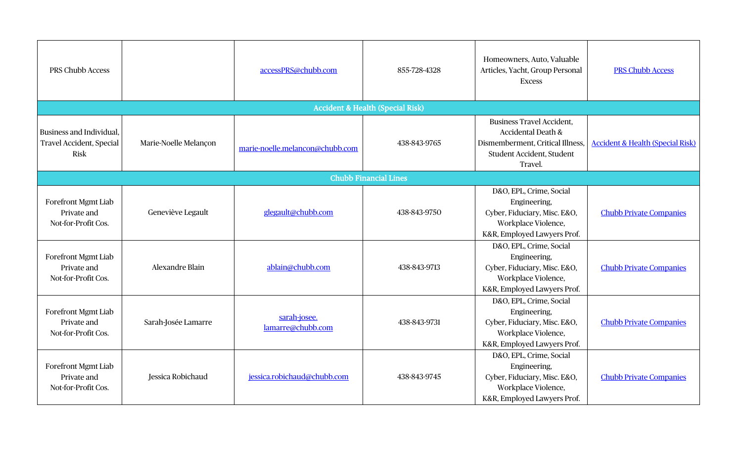| PRS Chubb Access                                                           |                       | accessPRS@chubb.com               | 855-728-4328                                | Homeowners, Auto, Valuable<br>Articles, Yacht, Group Personal<br><b>Excess</b>                                                     | <b>PRS Chubb Access</b>                     |
|----------------------------------------------------------------------------|-----------------------|-----------------------------------|---------------------------------------------|------------------------------------------------------------------------------------------------------------------------------------|---------------------------------------------|
|                                                                            |                       |                                   | <b>Accident &amp; Health (Special Risk)</b> |                                                                                                                                    |                                             |
| Business and Individual,<br><b>Travel Accident, Special</b><br><b>Risk</b> | Marie-Noelle Melançon | marie-noelle.melancon@chubb.com   | 438-843-9765                                | <b>Business Travel Accident,</b><br>Accidental Death &<br>Dismemberment, Critical Illness,<br>Student Accident, Student<br>Travel. | <b>Accident &amp; Health (Special Risk)</b> |
|                                                                            |                       |                                   | <b>Chubb Financial Lines</b>                |                                                                                                                                    |                                             |
| <b>Forefront Mgmt Liab</b><br>Private and<br>Not-for-Profit Cos.           | Geneviève Legault     | glegault@chubb.com                | 438-843-9750                                | D&O, EPL, Crime, Social<br>Engineering,<br>Cyber, Fiduciary, Misc. E&O,<br>Workplace Violence,<br>K&R, Employed Lawyers Prof.      | <b>Chubb Private Companies</b>              |
| <b>Forefront Mgmt Liab</b><br>Private and<br>Not-for-Profit Cos.           | Alexandre Blain       | ablain@chubb.com                  | 438-843-9713                                | D&O, EPL, Crime, Social<br>Engineering,<br>Cyber, Fiduciary, Misc. E&O,<br>Workplace Violence,<br>K&R, Employed Lawyers Prof.      | <b>Chubb Private Companies</b>              |
| <b>Forefront Mgmt Liab</b><br>Private and<br>Not-for-Profit Cos.           | Sarah-Josée Lamarre   | sarah-josee.<br>lamarre@chubb.com | 438-843-9731                                | D&O, EPL, Crime, Social<br>Engineering,<br>Cyber, Fiduciary, Misc. E&O,<br>Workplace Violence,<br>K&R, Employed Lawyers Prof.      | <b>Chubb Private Companies</b>              |
| Forefront Mgmt Liab<br>Private and<br>Not-for-Profit Cos.                  | Jessica Robichaud     | jessica.robichaud@chubb.com       | 438-843-9745                                | D&O, EPL, Crime, Social<br>Engineering,<br>Cyber, Fiduciary, Misc. E&O,<br>Workplace Violence,<br>K&R, Employed Lawyers Prof.      | <b>Chubb Private Companies</b>              |